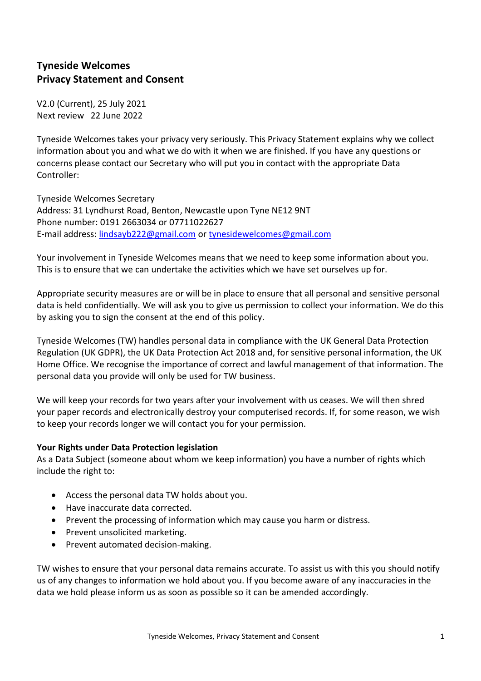# **Tyneside Welcomes Privacy Statement and Consent**

V2.0 (Current), 25 July 2021 Next review 22 June 2022

Tyneside Welcomes takes your privacy very seriously. This Privacy Statement explains why we collect information about you and what we do with it when we are finished. If you have any questions or concerns please contact our Secretary who will put you in contact with the appropriate Data Controller:

Tyneside Welcomes Secretary Address: 31 Lyndhurst Road, Benton, Newcastle upon Tyne NE12 9NT Phone number: 0191 2663034 or 07711022627 E-mail address: [lindsayb222@gmail.com](about:blank) or [tynesidewelcomes@gmail.com](about:blank)

Your involvement in Tyneside Welcomes means that we need to keep some information about you. This is to ensure that we can undertake the activities which we have set ourselves up for.

Appropriate security measures are or will be in place to ensure that all personal and sensitive personal data is held confidentially. We will ask you to give us permission to collect your information. We do this by asking you to sign the consent at the end of this policy.

Tyneside Welcomes (TW) handles personal data in compliance with the UK General Data Protection Regulation (UK GDPR), the UK Data Protection Act 2018 and, for sensitive personal information, the UK Home Office. We recognise the importance of correct and lawful management of that information. The personal data you provide will only be used for TW business.

We will keep your records for two years after your involvement with us ceases. We will then shred your paper records and electronically destroy your computerised records. If, for some reason, we wish to keep your records longer we will contact you for your permission.

## **Your Rights under Data Protection legislation**

As a Data Subject (someone about whom we keep information) you have a number of rights which include the right to:

- Access the personal data TW holds about you.
- Have inaccurate data corrected.
- Prevent the processing of information which may cause you harm or distress.
- Prevent unsolicited marketing.
- Prevent automated decision-making.

TW wishes to ensure that your personal data remains accurate. To assist us with this you should notify us of any changes to information we hold about you. If you become aware of any inaccuracies in the data we hold please inform us as soon as possible so it can be amended accordingly.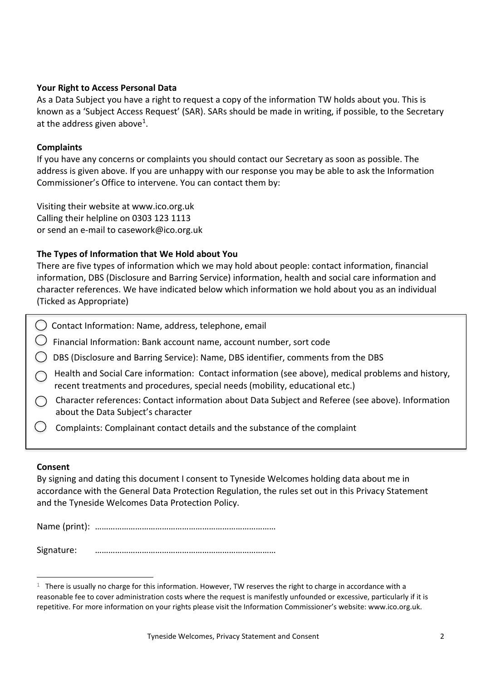#### **Your Right to Access Personal Data**

As a Data Subject you have a right to request a copy of the information TW holds about you. This is known as a 'Subject Access Request' (SAR). SARs should be made in writing, if possible, to the Secretary at the address given above<sup>1</sup>.

### **Complaints**

If you have any concerns or complaints you should contact our Secretary as soon as possible. The address is given above. If you are unhappy with our response you may be able to ask the Information Commissioner's Office to intervene. You can contact them by:

Visiting their website at www.ico.org.uk Calling their helpline on 0303 123 1113 or send an e-mail to casework@ico.org.uk

### **The Types of Information that We Hold about You**

There are five types of information which we may hold about people: contact information, financial information, DBS (Disclosure and Barring Service) information, health and social care information and character references. We have indicated below which information we hold about you as an individual (Ticked as Appropriate)

- C ) Contact Information: Name, address, telephone, email
- $\bigcirc$  Financial Information: Bank account name, account number, sort code
- DBS (Disclosure and Barring Service): Name, DBS identifier, comments from the DBS
- Health and Social Care information: Contact information (see above), medical problems and history, recent treatments and procedures, special needs (mobility, educational etc.)
- Character references: Contact information about Data Subject and Referee (see above). Information about the Data Subject's character
- Complaints: Complainant contact details and the substance of the complaint

#### **Consent**

By signing and dating this document I consent to Tyneside Welcomes holding data about me in accordance with the General Data Protection Regulation, the rules set out in this Privacy Statement and the Tyneside Welcomes Data Protection Policy.

Name (print): ………………………………………………………………………

Signature: ………………………………………………………………………

 $1$  There is usually no charge for this information. However, TW reserves the right to charge in accordance with a reasonable fee to cover administration costs where the request is manifestly unfounded or excessive, particularly if it is repetitive. For more information on your rights please visit the Information Commissioner's website: www.ico.org.uk.